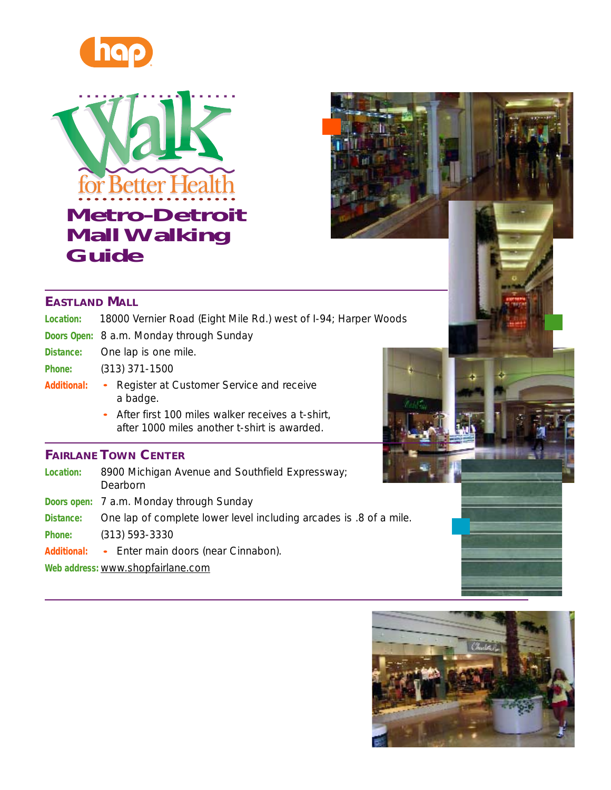





| Location: | 18000 Vernier Road (Eight Mile Rd.) west of I-94; Harper Woods |  |  |
|-----------|----------------------------------------------------------------|--|--|
|           |                                                                |  |  |

- **Doors Open:** 8 a.m. Monday through Sunday
- **Distance:** One lap is one mile.
- **Phone:** (313) 371-1500
- Additional: Register at Customer Service and receive a badge.
	- After first 100 miles walker receives a t-shirt, after 1000 miles another t-shirt is awarded.

#### **FAIRLANE TOWN CENTER**

- **Location:** 8900 Michigan Avenue and Southfield Expressway; Dearborn
- **Doors open:** 7 a.m. Monday through Sunday
- **Distance:** One lap of complete lower level including arcades is .8 of a mile.
- **Phone:** (313) 593-3330
- Additional: Enter main doors (near Cinnabon).
- **Web address:** www.shopfairlane.com

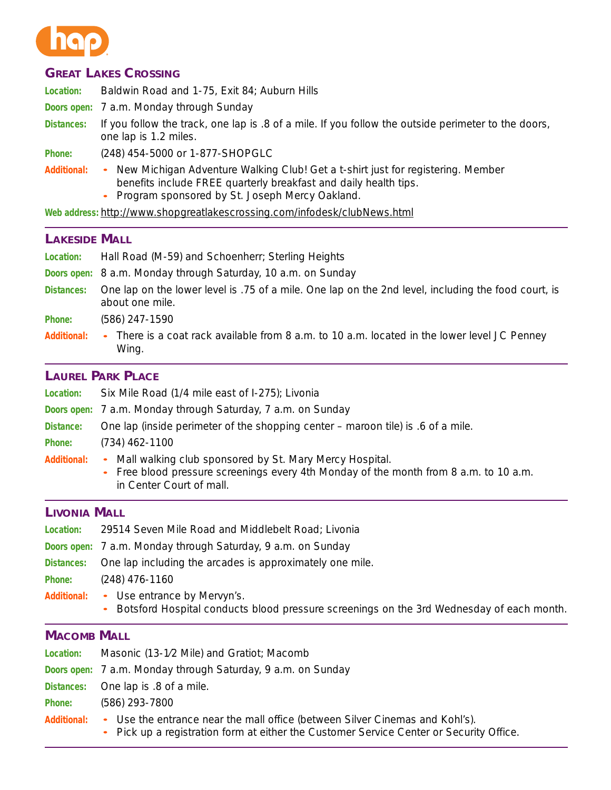

# **GREAT LAKES CROSSING**

**Location:** Baldwin Road and 1-75, Exit 84; Auburn Hills

**Doors open:** 7 a.m. Monday through Sunday

**Distances:** If you follow the track, one lap is .8 of a mile. If you follow the outside perimeter to the doors, one lap is 1.2 miles.

**Phone:** (248) 454-5000 or 1-877-SHOPGLC

- Additional: New Michigan Adventure Walking Club! Get a t-shirt just for registering. Member benefits include FREE quarterly breakfast and daily health tips. •
	- Program sponsored by St. Joseph Mercy Oakland.

**Web address:** http://www.shopgreatlakescrossing.com/infodesk/clubNews.html

#### **LAKESIDE MALL**

| Location:           | Hall Road (M-59) and Schoenherr; Sterling Heights                                                                                                                                       |
|---------------------|-----------------------------------------------------------------------------------------------------------------------------------------------------------------------------------------|
| Doors open:         | 8 a.m. Monday through Saturday, 10 a.m. on Sunday                                                                                                                                       |
| <b>Distances:</b>   | One lap on the lower level is .75 of a mile. One lap on the 2nd level, including the food court, is<br>about one mile.                                                                  |
| <b>Phone:</b>       | (586) 247-1590                                                                                                                                                                          |
| <b>Additional:</b>  | There is a coat rack available from 8 a.m. to 10 a.m. located in the lower level JC Penney<br>Wing.                                                                                     |
|                     | <b>LAUREL PARK PLACE</b>                                                                                                                                                                |
| <b>Location:</b>    | Six Mile Road (1/4 mile east of I-275); Livonia                                                                                                                                         |
| Doors open:         | 7 a.m. Monday through Saturday, 7 a.m. on Sunday                                                                                                                                        |
| Distance:           | One lap (inside perimeter of the shopping center - maroon tile) is .6 of a mile.                                                                                                        |
| <b>Phone:</b>       | $(734)$ 462-1100                                                                                                                                                                        |
| <b>Additional:</b>  | Mall walking club sponsored by St. Mary Mercy Hospital.<br>$\bullet$<br>Free blood pressure screenings every 4th Monday of the month from 8 a.m. to 10 a.m.<br>in Center Court of mall. |
| <b>LIVONIA MALL</b> |                                                                                                                                                                                         |
| Location:           | 29514 Seven Mile Road and Middlebelt Road; Livonia                                                                                                                                      |
|                     | Doors open: 7 a.m. Monday through Saturday, 9 a.m. on Sunday                                                                                                                            |
|                     |                                                                                                                                                                                         |

- **Distances:** One lap including the arcades is approximately one mile.
- **Phone:** (248) 476-1160
- Additional: Use entrance by Mervyn's.
	- Botsford Hospital conducts blood pressure screenings on the 3rd Wednesday of each month. •

# **MACOMB MALL**

| Location:          | Masonic (13-1/2 Mile) and Gratiot; Macomb                                                                                                                            |  |
|--------------------|----------------------------------------------------------------------------------------------------------------------------------------------------------------------|--|
|                    | Doors open: 7 a.m. Monday through Saturday, 9 a.m. on Sunday                                                                                                         |  |
|                    | Distances: One lap is .8 of a mile.                                                                                                                                  |  |
| Phone:             | (586) 293-7800                                                                                                                                                       |  |
| <b>Additional:</b> | • Use the entrance near the mall office (between Silver Cinemas and Kohl's).<br>Dick up a registration form at either the Customer Service Center or Security Office |  |

• Pick up a registration form at either the Customer Service Center or Security Office.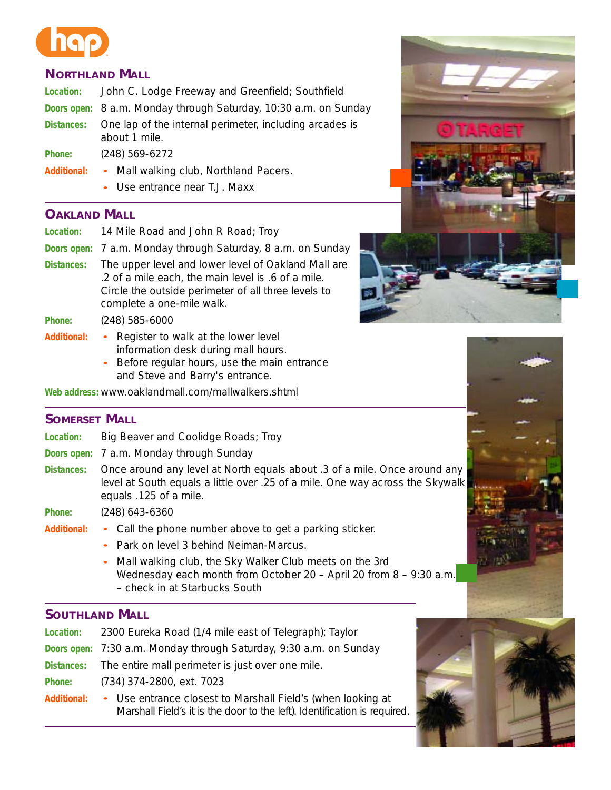# **NORTHLAND MALL**

| <b>Location:</b> | John C. Lodge Freeway and Greenfield; Southfield                         |
|------------------|--------------------------------------------------------------------------|
|                  | Doors open: 8 a.m. Monday through Saturday, 10:30 a.m. on Sunday         |
| Distances:       | One lap of the internal perimeter, including arcades is<br>about 1 mile. |
| Phone:           | $(248)$ 569-6272                                                         |
|                  | Additional: • Mall walking club, Northland Pacers.                       |

- Use entrance near T.J. Maxx

# **OAKLAND MALL**

| Location:          | 14 Mile Road and John R Road; Troy                                                                                                                                                            |
|--------------------|-----------------------------------------------------------------------------------------------------------------------------------------------------------------------------------------------|
|                    | Doors open: 7 a.m. Monday through Saturday, 8 a.m. on Sunday                                                                                                                                  |
| <b>Distances:</b>  | The upper level and lower level of Oakland Mall are<br>.2 of a mile each, the main level is .6 of a mile.<br>Circle the outside perimeter of all three levels to<br>complete a one-mile walk. |
| Phone:             | $(248)$ 585-6000                                                                                                                                                                              |
| <b>Additional:</b> | Register to walk at the lower level<br>$\bullet$ .<br>information desk during mall hours.<br>- Before regular hours, use the main entrance                                                    |

Before regular hours, use the main entrance and Steve and Barry's entrance.

**Web address:** www.oaklandmall.com/mallwalkers.shtml

# **SOMERSET MALL**

- **Location:** Big Beaver and Coolidge Roads; Troy
- **Doors open:** 7 a.m. Monday through Sunday
- **Distances:** Once around any level at North equals about .3 of a mile. Once around any level at South equals a little over .25 of a mile. One way across the Skywalk equals .125 of a mile.

**Phone:** (248) 643-6360

- Additional: Call the phone number above to get a parking sticker.
	- Park on level 3 behind Neiman-Marcus.
	- Mall walking club, the Sky Walker Club meets on the 3rd Wednesday each month from October 20 – April 20 from 8 – 9:30 a.m. – check in at Starbucks South

# **SOUTHLAND MALL**

| <b>Location:</b>   | 2300 Eureka Road (1/4 mile east of Telegraph); Taylor              |
|--------------------|--------------------------------------------------------------------|
|                    | Doors open: 7:30 a.m. Monday through Saturday, 9:30 a.m. on Sunday |
|                    | Distances: The entire mall perimeter is just over one mile.        |
| Phone:             | (734) 374-2800, ext. 7023                                          |
| <b>Additional:</b> | • Use entrance closest to Marshall Field's (when looking at        |